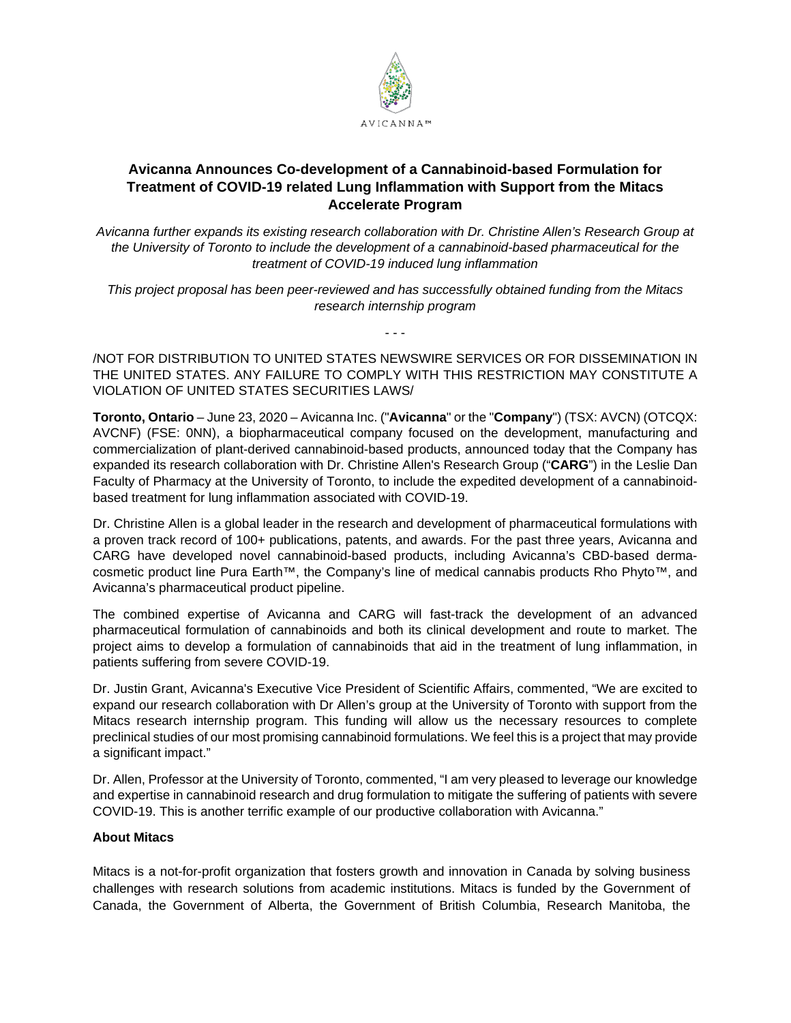

# **Avicanna Announces Co-development of a Cannabinoid-based Formulation for Treatment of COVID-19 related Lung Inflammation with Support from the Mitacs Accelerate Program**

*Avicanna further expands its existing research collaboration with Dr. Christine Allen's Research Group at the University of Toronto to include the development of a cannabinoid-based pharmaceutical for the treatment of COVID-19 induced lung inflammation*

*This project proposal has been peer-reviewed and has successfully obtained funding from the Mitacs research internship program*

- - -

/NOT FOR DISTRIBUTION TO UNITED STATES NEWSWIRE SERVICES OR FOR DISSEMINATION IN THE UNITED STATES. ANY FAILURE TO COMPLY WITH THIS RESTRICTION MAY CONSTITUTE A VIOLATION OF UNITED STATES SECURITIES LAWS/

**Toronto, Ontario** – June 23, 2020 – Avicanna Inc. ("**Avicanna**" or the "**Company**") (TSX: AVCN) (OTCQX: AVCNF) (FSE: 0NN), a biopharmaceutical company focused on the development, manufacturing and commercialization of plant-derived cannabinoid-based products, announced today that the Company has expanded its research collaboration with Dr. Christine Allen's Research Group ("**CARG**") in the Leslie Dan Faculty of Pharmacy at the University of Toronto, to include the expedited development of a cannabinoidbased treatment for lung inflammation associated with COVID-19.

Dr. Christine Allen is a global leader in the research and development of pharmaceutical formulations with a proven track record of 100+ publications, patents, and awards. For the past three years, Avicanna and CARG have developed novel cannabinoid-based products, including Avicanna's CBD-based dermacosmetic product line Pura Earth™, the Company's line of medical cannabis products Rho Phyto™, and Avicanna's pharmaceutical product pipeline.

The combined expertise of Avicanna and CARG will fast-track the development of an advanced pharmaceutical formulation of cannabinoids and both its clinical development and route to market. The project aims to develop a formulation of cannabinoids that aid in the treatment of lung inflammation, in patients suffering from severe COVID-19.

Dr. Justin Grant, Avicanna's Executive Vice President of Scientific Affairs, commented, "We are excited to expand our research collaboration with Dr Allen's group at the University of Toronto with support from the Mitacs research internship program. This funding will allow us the necessary resources to complete preclinical studies of our most promising cannabinoid formulations. We feel this is a project that may provide a significant impact."

Dr. Allen, Professor at the University of Toronto, commented, "I am very pleased to leverage our knowledge and expertise in cannabinoid research and drug formulation to mitigate the suffering of patients with severe COVID-19. This is another terrific example of our productive collaboration with Avicanna."

# **About Mitacs**

Mitacs is a not-for-profit organization that fosters growth and innovation in Canada by solving business challenges with research solutions from academic institutions. Mitacs is funded by the Government of Canada, the Government of Alberta, the Government of British Columbia, Research Manitoba, the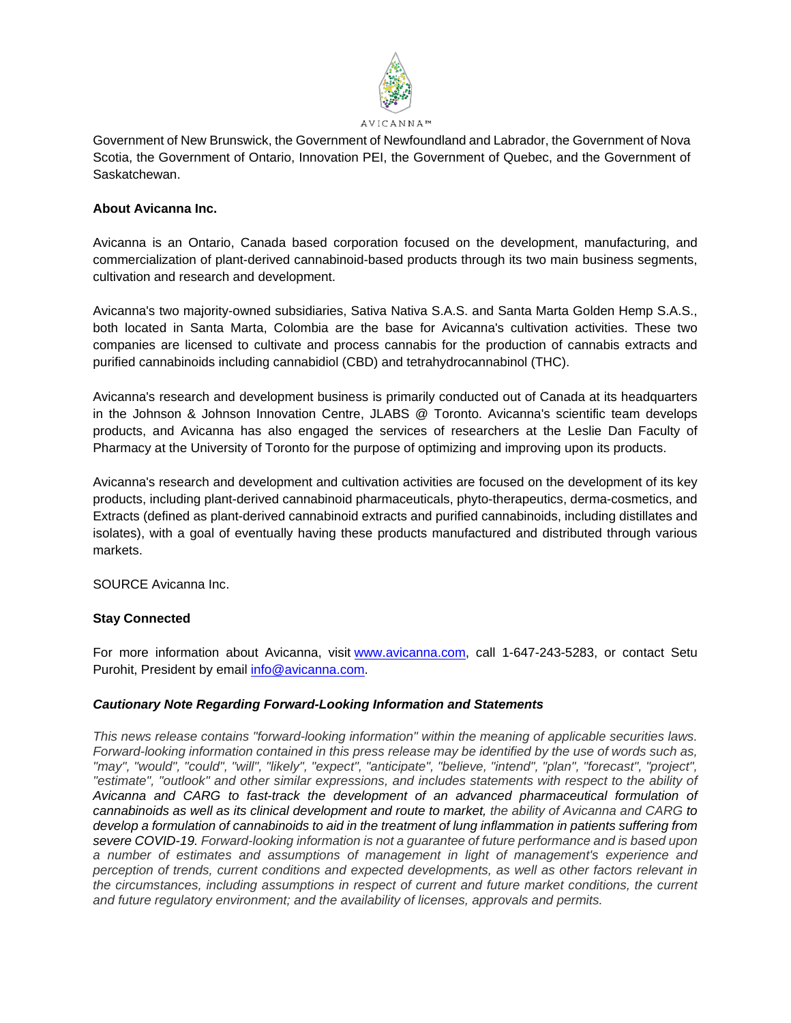

Government of New Brunswick, the Government of Newfoundland and Labrador, the Government of Nova Scotia, the Government of Ontario, Innovation PEI, the Government of Quebec, and the Government of Saskatchewan.

### **About Avicanna Inc.**

Avicanna is an Ontario, Canada based corporation focused on the development, manufacturing, and commercialization of plant-derived cannabinoid-based products through its two main business segments, cultivation and research and development.

Avicanna's two majority-owned subsidiaries, Sativa Nativa S.A.S. and Santa Marta Golden Hemp S.A.S., both located in Santa Marta, Colombia are the base for Avicanna's cultivation activities. These two companies are licensed to cultivate and process cannabis for the production of cannabis extracts and purified cannabinoids including cannabidiol (CBD) and tetrahydrocannabinol (THC).

Avicanna's research and development business is primarily conducted out of Canada at its headquarters in the Johnson & Johnson Innovation Centre, JLABS @ Toronto. Avicanna's scientific team develops products, and Avicanna has also engaged the services of researchers at the Leslie Dan Faculty of Pharmacy at the University of Toronto for the purpose of optimizing and improving upon its products.

Avicanna's research and development and cultivation activities are focused on the development of its key products, including plant-derived cannabinoid pharmaceuticals, phyto-therapeutics, derma-cosmetics, and Extracts (defined as plant-derived cannabinoid extracts and purified cannabinoids, including distillates and isolates), with a goal of eventually having these products manufactured and distributed through various markets.

SOURCE Avicanna Inc.

# **Stay Connected**

For more information about Avicanna, visit [www.avicanna.com,](http://www.avicanna.com/) call 1-647-243-5283, or contact Setu Purohit, President by email [info@avicanna.com.](mailto:info@avicanna.com)

#### *Cautionary Note Regarding Forward-Looking Information and Statements*

*This news release contains "forward-looking information" within the meaning of applicable securities laws. Forward-looking information contained in this press release may be identified by the use of words such as, "may", "would", "could", "will", "likely", "expect", "anticipate", "believe, "intend", "plan", "forecast", "project", "estimate", "outlook" and other similar expressions, and includes statements with respect to the ability of Avicanna and CARG to fast-track the development of an advanced pharmaceutical formulation of cannabinoids as well as its clinical development and route to market, the ability of Avicanna and CARG to develop a formulation of cannabinoids to aid in the treatment of lung inflammation in patients suffering from severe COVID-19. Forward-looking information is not a guarantee of future performance and is based upon a number of estimates and assumptions of management in light of management's experience and perception of trends, current conditions and expected developments, as well as other factors relevant in the circumstances, including assumptions in respect of current and future market conditions, the current and future regulatory environment; and the availability of licenses, approvals and permits.*